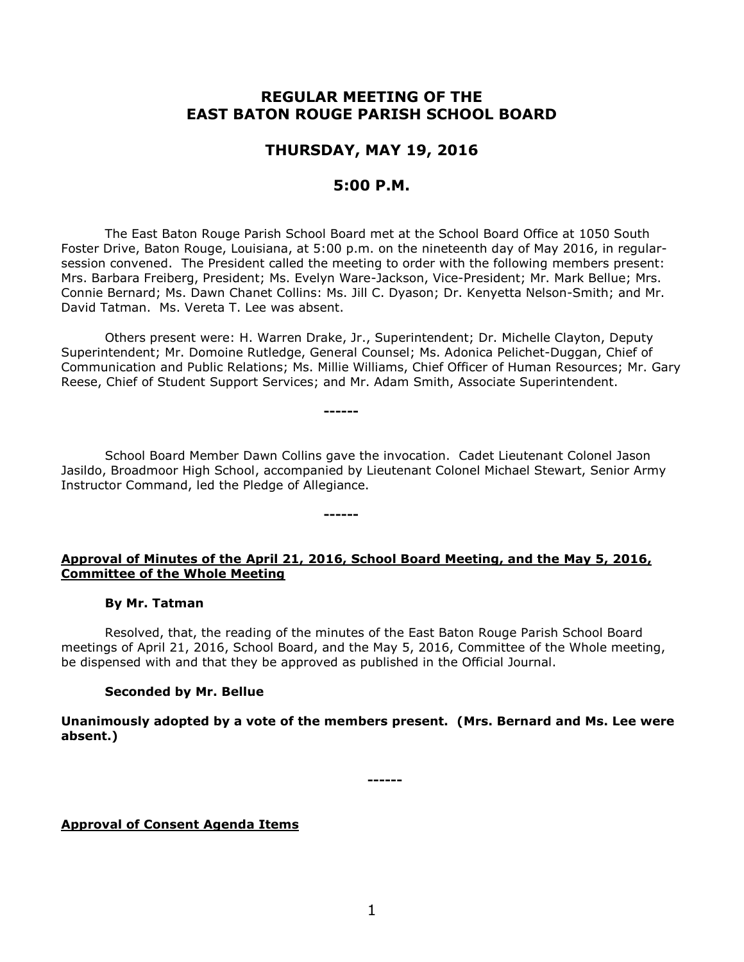# **REGULAR MEETING OF THE EAST BATON ROUGE PARISH SCHOOL BOARD**

# **THURSDAY, MAY 19, 2016**

# **5:00 P.M.**

The East Baton Rouge Parish School Board met at the School Board Office at 1050 South Foster Drive, Baton Rouge, Louisiana, at 5:00 p.m. on the nineteenth day of May 2016, in regularsession convened. The President called the meeting to order with the following members present: Mrs. Barbara Freiberg, President; Ms. Evelyn Ware-Jackson, Vice-President; Mr. Mark Bellue; Mrs. Connie Bernard; Ms. Dawn Chanet Collins: Ms. Jill C. Dyason; Dr. Kenyetta Nelson-Smith; and Mr. David Tatman. Ms. Vereta T. Lee was absent.

Others present were: H. Warren Drake, Jr., Superintendent; Dr. Michelle Clayton, Deputy Superintendent; Mr. Domoine Rutledge, General Counsel; Ms. Adonica Pelichet-Duggan, Chief of Communication and Public Relations; Ms. Millie Williams, Chief Officer of Human Resources; Mr. Gary Reese, Chief of Student Support Services; and Mr. Adam Smith, Associate Superintendent.

School Board Member Dawn Collins gave the invocation. Cadet Lieutenant Colonel Jason Jasildo, Broadmoor High School, accompanied by Lieutenant Colonel Michael Stewart, Senior Army Instructor Command, led the Pledge of Allegiance.

**------**

**------**

### **Approval of Minutes of the April 21, 2016, School Board Meeting, and the May 5, 2016, Committee of the Whole Meeting**

#### **By Mr. Tatman**

Resolved, that, the reading of the minutes of the East Baton Rouge Parish School Board meetings of April 21, 2016, School Board, and the May 5, 2016, Committee of the Whole meeting, be dispensed with and that they be approved as published in the Official Journal.

### **Seconded by Mr. Bellue**

**Unanimously adopted by a vote of the members present. (Mrs. Bernard and Ms. Lee were absent.)**

**------**

### **Approval of Consent Agenda Items**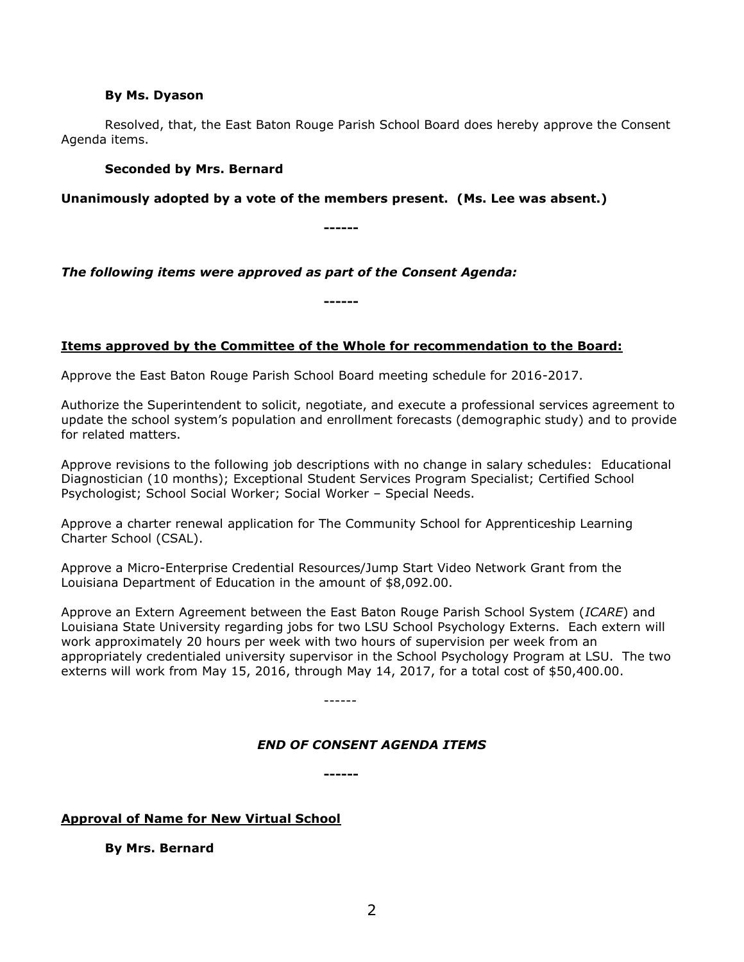#### **By Ms. Dyason**

Resolved, that, the East Baton Rouge Parish School Board does hereby approve the Consent Agenda items.

### **Seconded by Mrs. Bernard**

**Unanimously adopted by a vote of the members present. (Ms. Lee was absent.)**

**------**

*The following items were approved as part of the Consent Agenda:*

**Items approved by the Committee of the Whole for recommendation to the Board:** 

**------**

Approve the East Baton Rouge Parish School Board meeting schedule for 2016-2017.

Authorize the Superintendent to solicit, negotiate, and execute a professional services agreement to update the school system's population and enrollment forecasts (demographic study) and to provide for related matters.

Approve revisions to the following job descriptions with no change in salary schedules: Educational Diagnostician (10 months); Exceptional Student Services Program Specialist; Certified School Psychologist; School Social Worker; Social Worker – Special Needs.

Approve a charter renewal application for The Community School for Apprenticeship Learning Charter School (CSAL).

Approve a Micro-Enterprise Credential Resources/Jump Start Video Network Grant from the Louisiana Department of Education in the amount of \$8,092.00.

Approve an Extern Agreement between the East Baton Rouge Parish School System (*ICARE*) and Louisiana State University regarding jobs for two LSU School Psychology Externs. Each extern will work approximately 20 hours per week with two hours of supervision per week from an appropriately credentialed university supervisor in the School Psychology Program at LSU. The two externs will work from May 15, 2016, through May 14, 2017, for a total cost of \$50,400.00.

------

# *END OF CONSENT AGENDA ITEMS*

**------**

# **Approval of Name for New Virtual School**

**By Mrs. Bernard**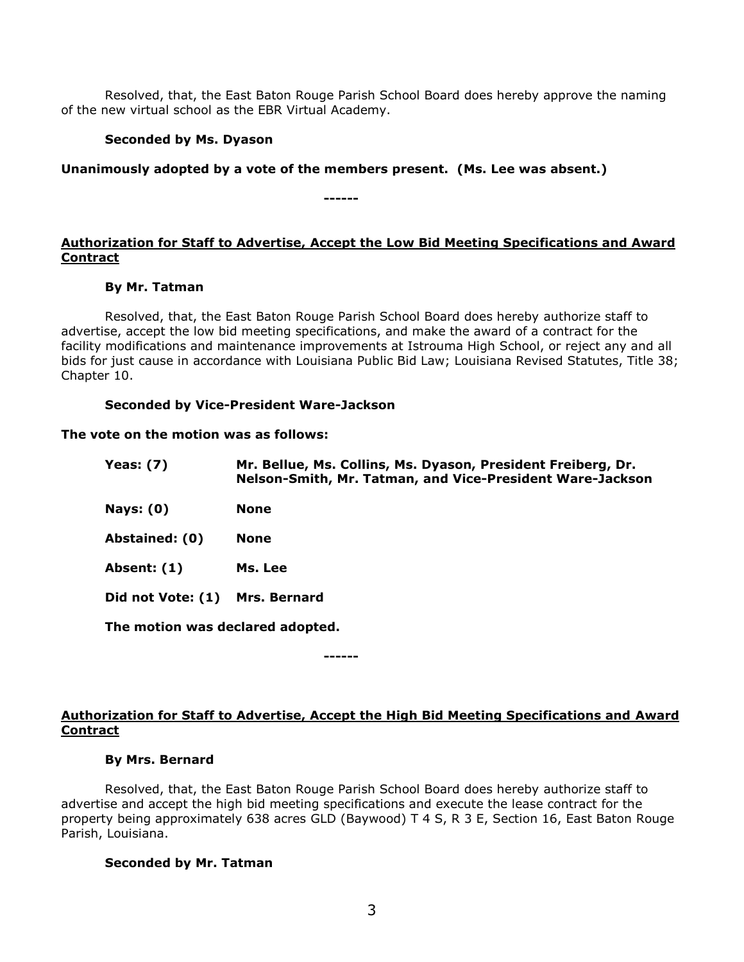Resolved, that, the East Baton Rouge Parish School Board does hereby approve the naming of the new virtual school as the EBR Virtual Academy.

### **Seconded by Ms. Dyason**

**Unanimously adopted by a vote of the members present. (Ms. Lee was absent.)**

**------**

### **Authorization for Staff to Advertise, Accept the Low Bid Meeting Specifications and Award Contract**

#### **By Mr. Tatman**

Resolved, that, the East Baton Rouge Parish School Board does hereby authorize staff to advertise, accept the low bid meeting specifications, and make the award of a contract for the facility modifications and maintenance improvements at Istrouma High School, or reject any and all bids for just cause in accordance with Louisiana Public Bid Law; Louisiana Revised Statutes, Title 38; Chapter 10.

#### **Seconded by Vice-President Ware-Jackson**

#### **The vote on the motion was as follows:**

| Yeas: $(7)$                      | Mr. Bellue, Ms. Collins, Ms. Dyason, President Freiberg, Dr.<br>Nelson-Smith, Mr. Tatman, and Vice-President Ware-Jackson |
|----------------------------------|---------------------------------------------------------------------------------------------------------------------------|
| Nays: $(0)$                      | <b>None</b>                                                                                                               |
| Abstained: (0)                   | <b>None</b>                                                                                                               |
| Absent: (1)                      | Ms. Lee                                                                                                                   |
| Did not Vote: (1)                | <b>Mrs. Bernard</b>                                                                                                       |
| The motion was declared adopted. |                                                                                                                           |

**------**

# **Authorization for Staff to Advertise, Accept the High Bid Meeting Specifications and Award Contract**

### **By Mrs. Bernard**

Resolved, that, the East Baton Rouge Parish School Board does hereby authorize staff to advertise and accept the high bid meeting specifications and execute the lease contract for the property being approximately 638 acres GLD (Baywood) T 4 S, R 3 E, Section 16, East Baton Rouge Parish, Louisiana.

### **Seconded by Mr. Tatman**